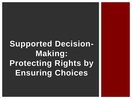# **Supported Decision-Making: Protecting Rights by Ensuring Choices**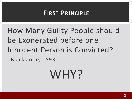#### **FIRST PRINCIPLE**

How Many Guilty People should be Exonerated before one Innocent Person is Convicted?

- Blackstone, 1893

# WHY?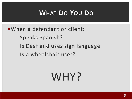### **WHAT DO YOU DO**

When a defendant or client:

Speaks Spanish?

- Is Deaf and uses sign language
- Is a wheelchair user?

# WHY?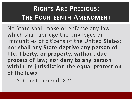# **RIGHTS ARE PRECIOUS: THE FOURTEENTH AMENDMENT**

No State shall make or enforce any law which shall abridge the privileges or immunities of citizens of the United States; **nor shall any State deprive any person of life, liberty, or property, without due process of law; nor deny to any person within its jurisdiction the equal protection of the laws.**

**-** U.S. Const. amend. XIV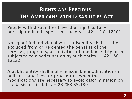#### **RIGHTS ARE PRECIOUS: THE AMERICANS WITH DISABILITIES ACT**

People with disabilities have the "right to fully participate in all aspects of society" - 42 U.S.C. 12101

No "qualified individual with a disability shall . . . be excluded from or be denied the benefits of the services, programs, or activities of a public entity or be subjected to discrimination by such entity" - 42 USC 12132

A public entity shall make reasonable modifications in policies, practices, or procedures when the modifications are necessary to avoid discrimination on the basis of disability  $-28$  CFR 35.130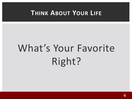#### **THINK ABOUT YOUR LIFE**

# What's Your Favorite Right?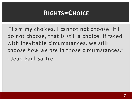#### **RIGHTS=CHOICE**

"I am my choices. I cannot not choose. If I do not choose, that is still a choice. If faced with inevitable circumstances, we still choose *how we are* in those circumstances."

- Jean Paul Sartre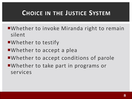#### **CHOICE IN THE JUSTICE SYSTEM**

- Whether to invoke Miranda right to remain silent
- ■Whether to testify
- ■Whether to accept a plea
- ■Whether to accept conditions of parole
- Whether to take part in programs or services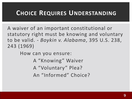#### **CHOICE REQUIRES UNDERSTANDING**

A waiver of an important constitutional or statutory right must be knowing and voluntary to be valid. - *Boykin v. Alabama*, 395 U.S. 238, 243 (1969)

How can you ensure:

A "Knowing" Waiver A "Voluntary" Plea? An "Informed" Choice?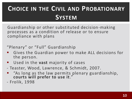## **CHOICE IN THE CIVIL AND PROBATIONARY SYSTEM**

Guardianship or other substituted decision-making processes as a condition of release or to ensure compliance with plans

"Plenary" or "Full" Guardianship

- Gives the Guardian power to make ALL decisions for the person.
- Used in the **vast** majority of cases
- Teaster, Wood, Lawrence, & Schmidt, 2007.
- "As long as the law permits plenary guardianship, **courts will prefer to use it**."
- Frolik, 1998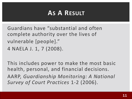### **AS A RESULT**

Guardians have "substantial and often complete authority over the lives of vulnerable [people]." 4 NAELA J. 1, 7 (2008).

This includes power to make the most basic health, personal, and financial decisions. AARP, *Guardianship Monitoring: A National Survey of Court Practices* 1-2 (2006).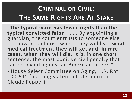# **CRIMINAL OR CIVIL: THE SAME RIGHTS ARE AT STAKE**

"**The typical ward has fewer rights than the typical convicted felon** . . . . By appointing a guardian, the court entrusts to someone else the power to choose where they will live, **what medical treatment they will get and, in rare cases, when they will die.** It is, in one short sentence, the most punitive civil penalty that can be levied against an American citizen."

- House Select Committee on Aging, H.R. Rpt. 100-641 (opening statement of Chairman Claude Pepper)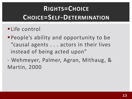# **RIGHTS=CHOICE CHOICE=SELF-DETERMINATION**

#### **·Life control**

- **People's ability and opportunity to be** "causal agents . . . actors in their lives instead of being acted upon"
- Wehmeyer, Palmer, Agran, Mithaug, & Martin, 2000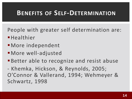#### **BENEFITS OF SELF-DETERMINATION**

People with greater self determination are:

- **E**Healthier
- More independent
- ▪More well-adjusted
- **Better able to recognize and resist abuse**

- Khemka, Hickson, & Reynolds, 2005; O'Connor & Vallerand, 1994; Wehmeyer & Schwartz, 1998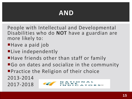### **AND**

People with Intellectual and Developmental Disabilities who do **NOT** have a guardian are more likely to:

- ■Have a paid job
- **ELive independently**
- ■Have friends other than staff or family
- **Go on dates and socialize in the community**
- **Practice the Religion of their choice**

2013-2014 2017-2018

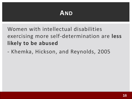#### **AND**

Women with intellectual disabilities exercising more self-determination are **less likely to be abused**

- Khemka, Hickson, and Reynolds, 2005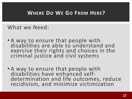#### **WHERE DO WE GO FROM HERE?**

#### What we Need:

- A way to ensure that people with disabilities are able to understand and exercise their rights and choices in the criminal justice and civil systems
- A way to ensure that people with disabilities have enhanced selfdetermination and life outcomes, reduce recidivism, and minimize victimization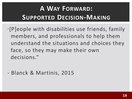# **A WAY FORWARD: SUPPORTED DECISION-MAKING**

- "[P]eople with disabilities use friends, family members, and professionals to help them understand the situations and choices they face, so they may make their own decisions."
- Blanck & Martinis, 2015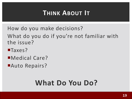### **THINK ABOUT IT**

- How do you make decisions? What do you do if you're not familiar with the issue?
- ■Taxes?
- Medical Care?
- ■Auto Repairs?

# **What Do You Do?**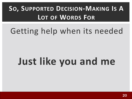# **SO, SUPPORTED DECISION-MAKING IS A LOT OF WORDS FOR**

# Getting help when its needed

# **Just like you and me**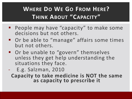#### **WHERE DO WE GO FROM HERE? THINK ABOUT "CAPACITY"**

- People may have "capacity" to make some decisions but not others.
- Or be able to "manage" affairs some times but not others.
- Or be unable to "govern" themselves unless they get help understanding the situations they face.
- E.g. Salzman, 2010 **Capacity to take medicine is NOT the same as capacity to prescribe it**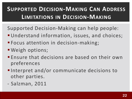### **SUPPORTED DECISION-MAKING CAN ADDRESS LIMITATIONS IN DECISION-MAKING**

- Supported Decision-Making can help people:
- **Understand information, issues, and choices;**
- Focus attention in decision-making;
- Weigh options;
- **Ensure that decisions are based on their own** preferences
- ■Interpret and/or communicate decisions to other parties.
- Salzman, 2011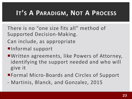### **IT'S A PARADIGM, NOT A PROCESS**

- There is no "one size fits all" method of Supported Decision-Making.
- Can include, as appropriate
- ■Informal support
- Written agreements, like Powers of Attorney, identifying the support needed and who will give it
- ■Formal Micro-Boards and Circles of Support
- Martinis, Blanck, and Gonzalez, 2015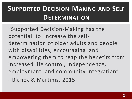# **SUPPORTED DECISION-MAKING AND SELF DETERMINATION**

"Supported Decision-Making has the potential to increase the selfdetermination of older adults and people with disabilities, encouraging and empowering them to reap the benefits from increased life control, independence, employment, and community integration"

- Blanck & Martinis, 2015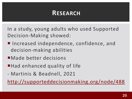#### **RESEARCH**

In a study, young adults who used Supported Decision-Making showed:

- **Increased independence, confidence, and** decision-making abilities
- ■Made better decisions
- ■Had enhanced quality of life
- Martinis & Beadnell, 2021

<http://supporteddecisionmaking.org/node/488>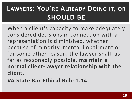# **LAWYERS: YOU'RE ALREADY DOING IT, OR SHOULD BE**

When a client's capacity to make adequately considered decisions in connection with a representation is diminished, whether because of minority, mental impairment or for some other reason, the lawyer shall, as far as reasonably possible, **maintain a normal client-lawyer relationship with the client.**

**VA State Bar Ethical Rule 1.14**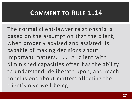#### **COMMENT TO RULE 1.14**

The normal client-lawyer relationship is based on the assumption that the client, when properly advised and assisted, is capable of making decisions about important matters. . . . [A] client with diminished capacities often has the ability to understand, deliberate upon, and reach conclusions about matters affecting the client's own well-being.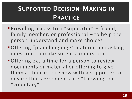## **SUPPORTED DECISION-MAKING IN PRACTICE**

- **Providing access to a "supporter"** friend, family member, or professional – to help the person understand and make choices
- Offering "plain language" material and asking questions to make sure its understood
- **Offering extra time for a person to review** documents or material or offering to give them a chance to review with a supporter to ensure that agreements are "knowing" or "voluntary"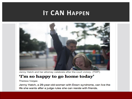#### **IT CAN HAPPEN**



Jenny Hatch and her attorney celebrate after the court victory. (TWP)

#### 'I'm so happy to go home today'

**Theresa Vargas** 

Jenny Hatch, a 29-year-old-woman with Down syndrome, can live the life she wants after a judge rules she can reside with friends.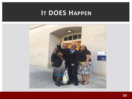#### **IT DOES HAPPEN**

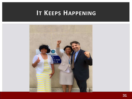#### **IT KEEPS HAPPENING**

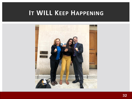#### **IT WILL KEEP HAPPENING**

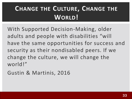# **CHANGE THE CULTURE, CHANGE THE WORLD!**

With Supported Decision-Making, older adults and people with disabilities "will have the same opportunities for success and security as their nondisabled peers. If we change the culture, we will change the world!"

Gustin & Martinis, 2016